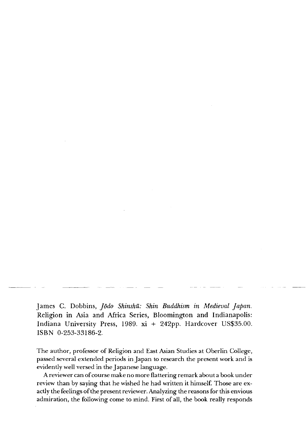James C. Dobbins, *Jodo Shinshu: Shin Buddhism in Medieval Japan.* Religion in Asia and Africa Series, Bloomington and Indianapolis: Indiana University Press, 1989. xi + 242pp. Hardcover US\$35.00. ISBN 0-253-33186-2.

The author, professor of Religion and East Asian Studies at Oberlin College, passed several extended periods in Japan to research the present work and is evidently well versed in the Japanese language.

A reviewer can of course make no more flattering remark about a book under review than by saying that he wished he had written it himself. Those are exactly the feelings of the present reviewer. Analyzing the reasons for this envious admiration, the following come to mind. First of all, the book really responds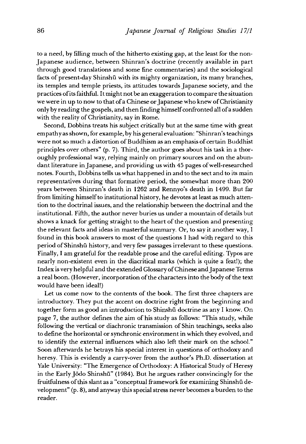to a need, by filling much of the hitherto existing gap, at the least for the non-Japanese audience, between Shinran's doctrine (recently available in part through good translations and some fine commentaries) and the sociological facts of present-day Shinshū with its mighty organization, its many branches, its temples and temple priests, its attitudes towards Japanese society, and the practices of its faithful. It might not be an exaggeration to compare the situation we were in up to now to that of a Chinese or Japanese who knew of Christianity only by reading the gospels, and then finding himself confronted all of a sudden with the reality of Christianity, say in Rome.

Second, Dobbins treats his subject critically but at the same time with great empathy as shown, for example, by his general evaluation: "shinran's teachings were not so much a distortion of Buddhism as an emphasis of certain Buddhist principles over others" (p. 7). Third, the author goes about his task in a thoroughly professional way, relying mainly on primary sources and on the abundant literature in Japanese, and providing us with 45 pages of well-researched notes. Fourth, Dobbins tells us what happened in and to the sect and to its main representatives during that formative period, the somewhat more than 200 years between Shinran's death in 1262 and Rennyo's death in 1499. But far from limiting himself to institutional history, he devotes at least as much attention to the doctrinal issues, and the relationship between the doctrinal and the institutional. Fifth, the author never buries us under a mountain of details but shows a knack for getting straight to the heart of the question and presenting the relevant facts and ideas in masterful summary. Or, to say it another way, I found in this book answers to most of the questions I had with regard to this period of Shinshū history, and very few passages irrelevant to these questions. Finally, I am grateful for the readable prose and the careful editing. Typos are nearly non-existent even in the diacritical marks (which is quite a feat!); the Index is very helpful and the extended Glossary of Chinese and Japanese Terms a real boon. (However, incorporation of the characters into the body of the text would have been ideal!)

Let us come now to the contents of the book. The first three chapters are introductory. They put the accent on doctrine right from the beginning and together form as good an introduction to shinshu doctrine as any I know. On page 7, the author defines the aim of his study as follows: "This study, while following the vertical or diachronic transmission of Shin teachings, seeks also to define the horizontal or synchronic environment in which they evolved, and to identify the external influences which also left their mark on the school." Soon afterwards he betrays his special interest in questions of orthodoxy and heresy. This is evidently a carry-over from the author's Ph.D. dissertation at Yale University: "The Emergence of Orthodoxy: A Historical Study of Heresy in the Early Jōdo Shinshū" (1984). But he argues rather convincingly for the fruitfulness of this slant as a "conceptual framework for examining Shinshū development" (p. 8), and anyway this special stress never becomes a burden to the reader.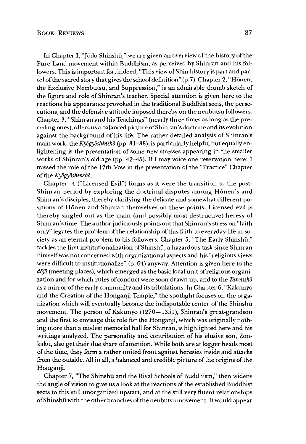In Chapter I, "Jodo Shinshū," we are given an overview of the history of the Pure Land movement within Buddhism, as perceived by Shinran and his followers. This is important for, indeed,"This view of shin history is part and parcel of the sacred story that gives the school definition" (p.7). Chapter 2, "Hōnen, the Exclusive Nembutsu, and Suppression," is an admirable thumb sketch of the figure and role of Shinran's teacher. Special attention is given here to the reactions his appearance provoked in the traditional Buddhist sects, the persecutions, and the defensive attitude imposed thereby on the nenbutsu followers. Chapter 3, "Shinran and his Teachings" (nearly three times as long as the preceding ones), offers us a balanced picture of Shinran's doctrine and its evolution against the background of his life. The rather detailed analysis of Shinran's main work, the *Kyogyoshinsho* (pp. 31-38), is particularly helpful but equally enlightening is the presentation of some new stresses appearing in the smaller works of Shinran's old age (pp. 42-45). If I may voice one reservation here: I missed the role of the 17th Vow in the presentation of the "Practice" Chapter of the *Kyogyoshinsho.*

Chapter 4 ("Licensed Evil") forms as it were the transition to the post-Shinran period by exploring the doctrinal disputes among H6nen\*s and Shinran's disciples, thereby clarifying the delicate and somewhat different positions of Hönen and Shinran themselves on these points. Licensed evil is thereby singled out as the main (and possibly most destructive) heresy of Shinran's time. The author judiciously points out that shinran's stress on "faith only" legates the problem of the relationship of this faith to everyday life in society as an eternal problem to his followers. Chapter 5, "The Early Shinshū," tackles the first institutionalization of Shinshu, a hazardous task since Shinran himself was not concerned with organizational aspects and his "religious views were difficult to institutionalize" (p. 64) anyway. Attention is given here to the *dojo* (meeting places), which emerged as the basic local unit of religious organization and for which rules of conduct were soon drawn up, and to the *Tannisho* as a mirror of the early community and its tribulations. In Chapter 6, "Kakuny6 and the Creation of the Honganji Temple," the spotlight focuses on the organization which will eventually become the indisputable center of the Shinshu movement. The person of Kakunyo (1270—1351), shinran's great-grandson and the first to envisage this role for the Honganji, which was originally nothing more than a modest memorial hall for Shinran, is highlighted here and his writings analyzed. The personality and contribution of his elusive son, Zonkaku, also get their due share of attention. While both are at logger heads most of the time, they form a rather united front against heresies inside and attacks from the outside. All in all, a balanced and credible picture of the origins of the Honganji.

Chapter 7, "The Shinshū and the Rival Schools of Buddhism," then widens the angle of vision to give us a look at the reactions of the established Buddhist sects to this still unorganized upstart, and at the still very fluent relationships of Shinshū with the other branches of the nenbutsu movement. It would appear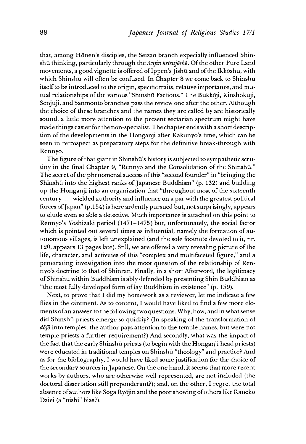that, among Hōnen's disciples, the Seizan branch expecially influenced Shinshū thinking, particularly through the *Anjin ketsujosho*. Of the other Pure Land movements, a good vignette is offered of Ippen^s Jishu and of the Ikkoshu, with which Shinshū will often be confused. In Chapter 8 we come back to Shinshū itself to be introduced to the origin, specific traits, relative importance, and mutual relationships of the various "Shinshū Factions." The Bukkōji, Kinshokuji, Senjuji, and Sanmonto branches pass the review one after the other. Although the choice of these branches and the names they are called by are historically sound, a little more attention to the present sectarian spectrum might have made things easier for the non-specialist. The chapter ends with a short description of the developments in the Honganji after Kakunyo's time, which can be seen in retrospect as preparatory steps for the definitive break-through with Rennyo.

The figure of that giant in Shinshū's history is subjected to sympathetic scrutiny in the final Chapter 9, "Rennyo and the Consolidation of the Shinshū." The secret of the phenomenal success of this "second founder" in "bringing the Shinshu into the highest ranks of Japanese Buddhism" (p. 132) and building up the Honganji into an organization that "throughout most of the sixteenth century ... wielded authority and influence on a par with the greatest political forces of Japan" (p.154) is here ardently pursued but, not surprisingly, appears to elude even so able a detective. Much importance is attached on this point to Rennyo's Yoshizaki period  $(1471-1475)$  but, unfortunately, the social factor which is pointed out several times as influential, namely the formation of autonomous villages, is left unexplained (and the sole footnote devoted to it, nr. 120,appears 13 pages late). Still, we are offered a very revealing picture of the life, character, and activities of this "complex and multifaceted figure," and a penetrating investigation into the moot question of the relationship of Rennyo's doctrine to that of Shinran. Finally, in a short Afterword, the legitimacy ofShinshu within Buddhism is ably defended by presenting Shin Buddhism as "the most fully developed form of lay Buddhism in existence" (p. 159).

Next, to prove that I did my homework as a reviewer, let me indicate a few flies in the ointment. As to content, I would have liked to find a few more elements of an answer to the following two questions. Why, how, and in what sense did Shinshū priests emerge so quickly? (In speaking of the transformation of *dojo* into temples, the author pays attention to the temple names, but were not temple priests a further requirement?) And secondly, what was the impact of the fact that the early Shinshū priests (to begin with the Honganji head priests) were educated in traditional temples on Shinshū "theology" and practice? And as for the bibliography, I would have liked some justification for the choice of the secondary sources in Japanese. On the one hand, it seems that more recent works by authors, who are otherwise well represented, are not included (the doctoral dissertation still preponderant?); and, on the other, I regret the total absence of authors like Soga Ryōjin and the poor showing of others like Kaneko Daiei (a "nishi" bias?).